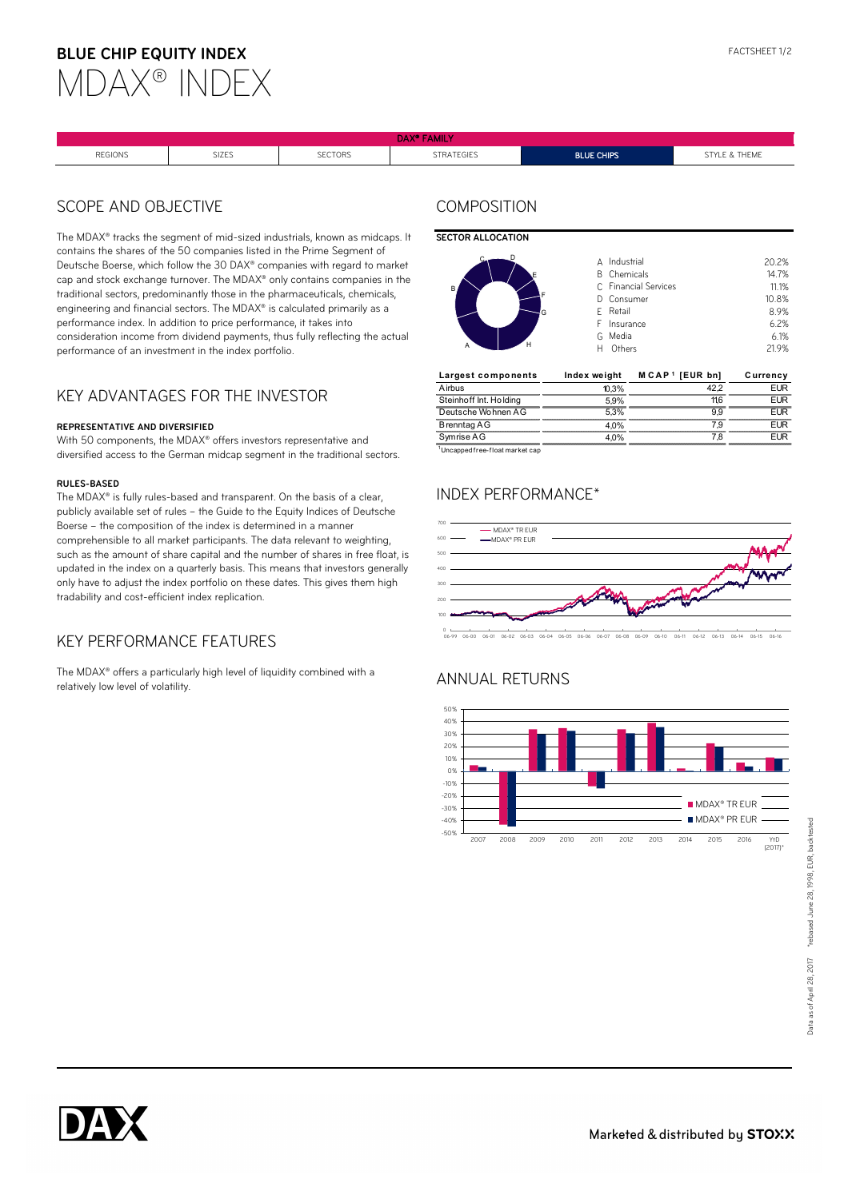# **BLUE CHIP EQUITY INDEX**



| $\mathbf{r}$ and $\mathbf{r}$<br>www. |              |                |                   |                   |                   |
|---------------------------------------|--------------|----------------|-------------------|-------------------|-------------------|
| <b>REGIONS</b>                        | <b>SIZES</b> | <b>SECTORS</b> | <b>STRATEGIES</b> | <b>BLUE CHIPS</b> | & THEME<br>STVI F |

### SCOPE AND OBJECTIVE

The MDAX<sup>®</sup> tracks the segment of mid-sized industrials, known as midcaps, It contains the shares of the 50 companies listed in the Prime Segment of Deutsche Boerse, which follow the 30 DAX® companies with regard to market cap and stock exchange turnover. The MDAX® only contains companies in the traditional sectors, predominantly those in the pharmaceuticals, chemicals, engineering and financial sectors. The MDAX® is calculated primarily as a performance index. In addition to price performance, it takes into consideration income from dividend payments, thus fully reflecting the actual performance of an investment in the index portfolio.

#### KEY ADVANTAGES FOR THE INVESTOR

#### **REPRESENTATIVE AND DIVERSIFIED**

With 50 components, the MDAX® offers investors representative and diversified access to the German midcap segment in the traditional sectors.

#### **RULES-BASED**

The MDAX® is fully rules-based and transparent. On the basis of a clear, publicly available set of rules – the Guide to the Equity Indices of Deutsche Boerse – the composition of the index is determined in a manner comprehensible to all market participants. The data relevant to weighting, such as the amount of share capital and the number of shares in free float, is updated in the index on a quarterly basis. This means that investors generally only have to adjust the index portfolio on these dates. This gives them high tradability and cost-efficient index replication.

### KEY PERFORMANCE FEATURES

The MDAX® offers a particularly high level of liquidity combined with a relatively low level of volatility.

### **COMPOSITION**

#### **SECTOR ALLOCATION**



| Largest components     | Index weight | $M$ CAP <sup>1</sup> [EUR bn] | Currency |
|------------------------|--------------|-------------------------------|----------|
| Airbus                 | 10.3%        |                               | '≂UR     |
| Steinhoff Int. Holding | 59%          |                               | FIIR     |
| Deutsche Wohnen AG     | 3%           |                               | =ı ır    |
| B renntag AG           | .0%          |                               | =1 IP    |
| Symrise AG             | 1 በ%         |                               | ΙR       |

<sup>1</sup>Uncapped free-f loat market cap

# INDEX PERFORMANCE\*



06-99 06-00 06-01 06-02 06-03 06-04 06-05 06-06 06-07 06-08 06-09 06-10 06-11 06-12 06-13 06-14 06-15 06-16

# ANNUAL RETURNS